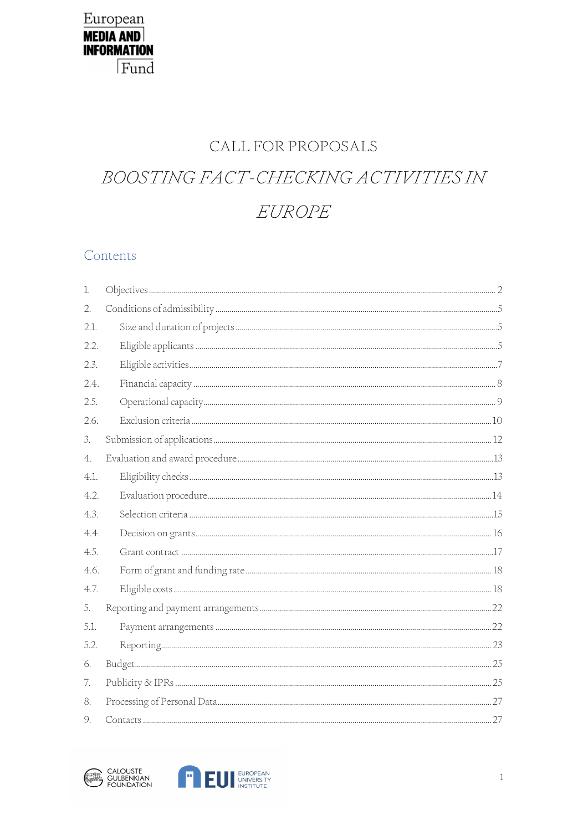# CALL FOR PROPOSALS

# BOOSTING FACT-CHECKING ACTIVITIES IN EUROPE

## Contents

| 1.   |  |
|------|--|
| 2.   |  |
| 2.1. |  |
| 2.2. |  |
| 2.3. |  |
| 2.4. |  |
| 2.5. |  |
| 2.6. |  |
| 3.   |  |
| 4.   |  |
| 4.1. |  |
| 4.2. |  |
| 4.3. |  |
| 4.4. |  |
| 4.5. |  |
| 4.6. |  |
| 4.7. |  |
| 5.   |  |
| 5.1. |  |
| 5.2. |  |
| 6.   |  |
| 7.   |  |
| 8.   |  |
| 9.   |  |



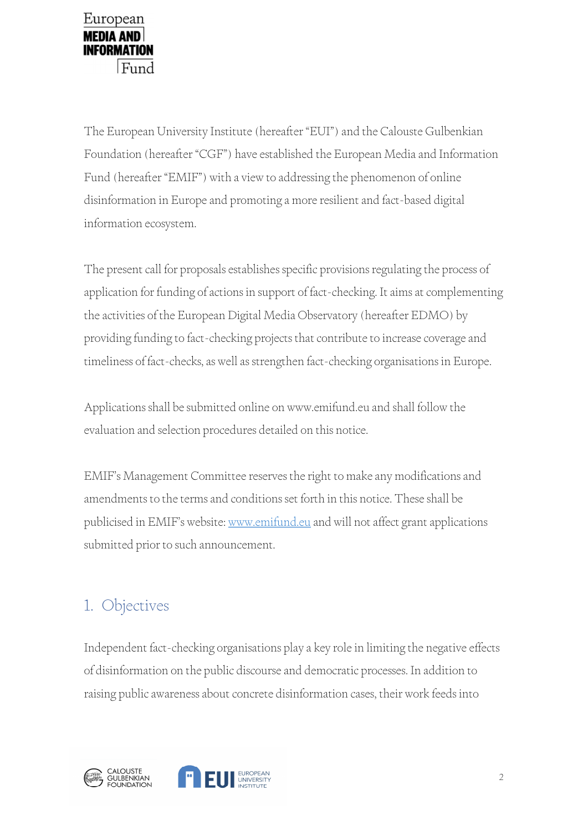

The European University Institute (hereafter "EUI") and the Calouste Gulbenkian Foundation (hereafter "CGF") have established the European Media and Information Fund (hereafter "EMIF") with a view to addressing the phenomenon of online disinformation in Europe and promoting a more resilient and fact-based digital information ecosystem.

The present call for proposals establishes specific provisions regulating the process of application for funding of actions in support of fact-checking. It aims at complementing the activities of the European Digital Media Observatory (hereafter EDMO) by providing funding to fact-checking projects that contribute to increase coverage and timeliness of fact-checks, as well as strengthen fact-checking organisations in Europe.

Applications shall be submitted online on www.emifund.eu and shall follow the evaluation and selection procedures detailed on this notice.

EMIF's Management Committee reserves the right to make any modifications and amendments to the terms and conditions set forth in this notice. These shall be publicised in EMIF's website: www.emifund.eu and will not affect grant applications submitted prior to such announcement.

# 1. Objectives

Independent fact-checking organisations play a key role in limiting the negative effects of disinformation on the public discourse and democratic processes. In addition to raising public awareness about concrete disinformation cases, their work feeds into



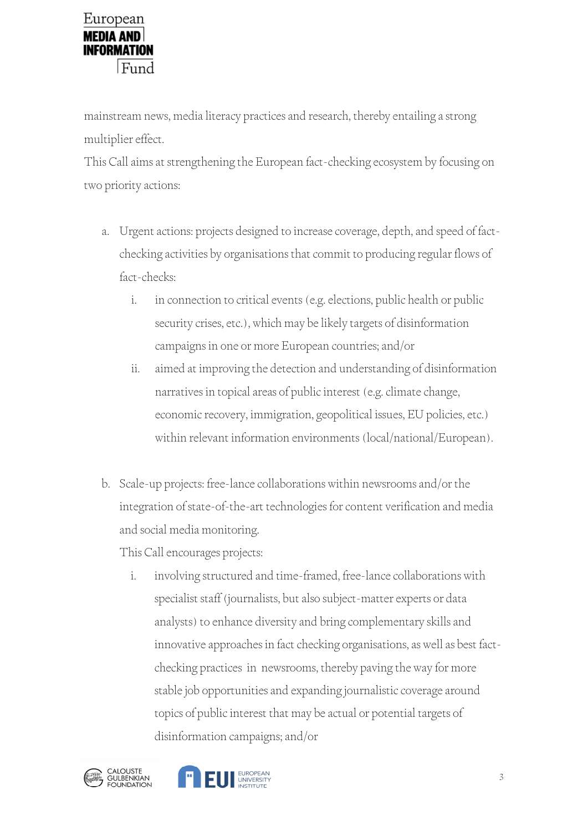mainstream news, media literacy practices and research, thereby entailing a strong multiplier effect.

This Call aims at strengthening the European fact-checking ecosystem by focusing on two priority actions:

- a. Urgent actions: projects designed to increase coverage, depth, and speed of factchecking activities by organisations that commit to producing regular flows of fact-checks:
	- i. in connection to critical events (e.g. elections, public health or public security crises, etc.), which may be likely targets of disinformation campaigns in one or more European countries; and/or
	- ii. aimed at improving the detection and understanding of disinformation narratives in topical areas of public interest (e.g. climate change, economic recovery, immigration, geopolitical issues, EU policies, etc.) within relevant information environments (local/national/European).
- b. Scale-up projects: free-lance collaborations within newsrooms and/or the integration of state-of-the-art technologies for content verification and media and social media monitoring.

This Call encourages projects:

i. involving structured and time-framed, free-lance collaborations with specialist staff (journalists, but also subject-matter experts or data analysts) to enhance diversity and bring complementary skills and innovative approaches in fact checking organisations, as well as best factchecking practices in newsrooms, thereby paving the way for more stable job opportunities and expanding journalistic coverage around topics of public interest that may be actual or potential targets of disinformation campaigns; and/or



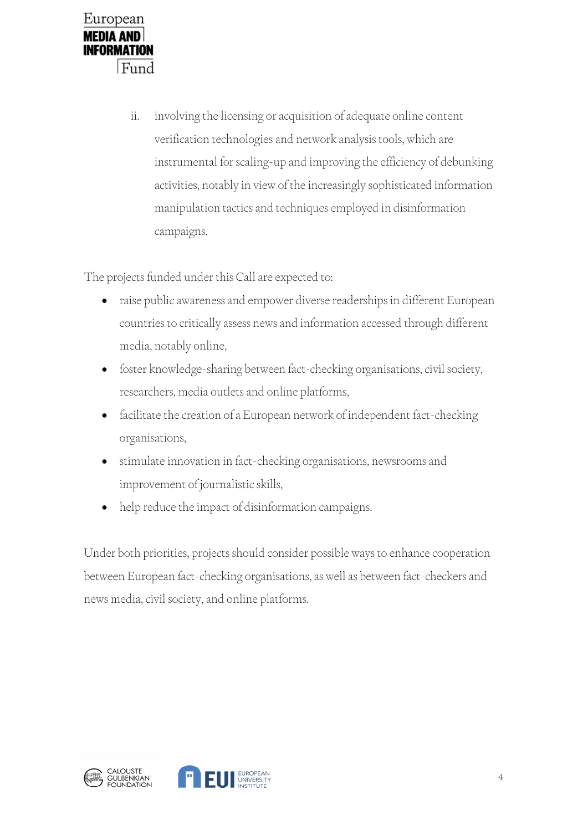

ii. involving the licensing or acquisition of adequate online content verification technologies and network analysis tools, which are instrumental for scaling-up and improving the efficiency of debunking activities, notably in view of the increasingly sophisticated information manipulation tactics and techniques employed in disinformation campaigns.

The projects funded under this Call are expected to:

- raise public awareness and empower diverse readerships in different European countries to critically assess news and information accessed through different media, notably online,
- foster knowledge-sharing between fact-checking organisations, civil society, researchers, media outlets and online platforms,
- facilitate the creation of a European network of independent fact-checking organisations,
- stimulate innovation in fact-checking organisations, newsrooms and improvement of journalistic skills,
- help reduce the impact of disinformation campaigns.

Under both priorities, projects should consider possible ways to enhance cooperation between European fact-checking organisations, as well as between fact-checkers and news media, civil society, and online platforms.



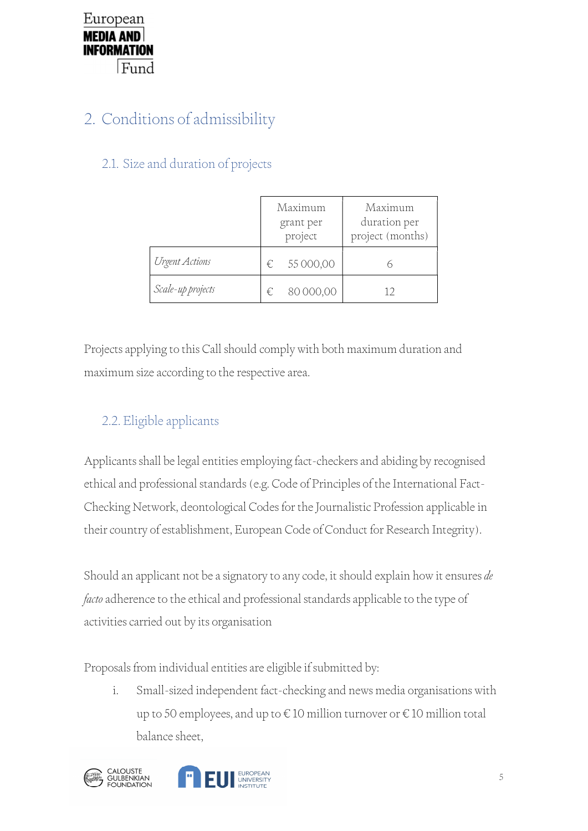# 2. Conditions of admissibility

# 2.1. Size and duration of projects

|                   | Maximum<br>grant per<br>project | Maximum<br>duration per<br>project (months) |
|-------------------|---------------------------------|---------------------------------------------|
| Urgent Actions    | 55 000,00<br>€                  |                                             |
| Scale-up projects | 80 000,00<br>€                  |                                             |

Projects applying to this Call should comply with both maximum duration and maximum size according to the respective area.

# 2.2. Eligible applicants

Applicants shall be legal entities employing fact-checkers and abiding by recognised ethical and professional standards (e.g. Code of Principles of the International Fact-Checking Network, deontological Codes for the Journalistic Profession applicable in their country of establishment, European Code of Conduct for Research Integrity).

Should an applicant not be a signatory to any code, it should explain how it ensures de *facto* adherence to the ethical and professional standards applicable to the type of activities carried out by its organisation

Proposals from individual entities are eligible if submitted by:

i. Small-sized independent fact-checking and news media organisations with up to 50 employees, and up to € 10 million turnover or € 10 million total balance sheet,

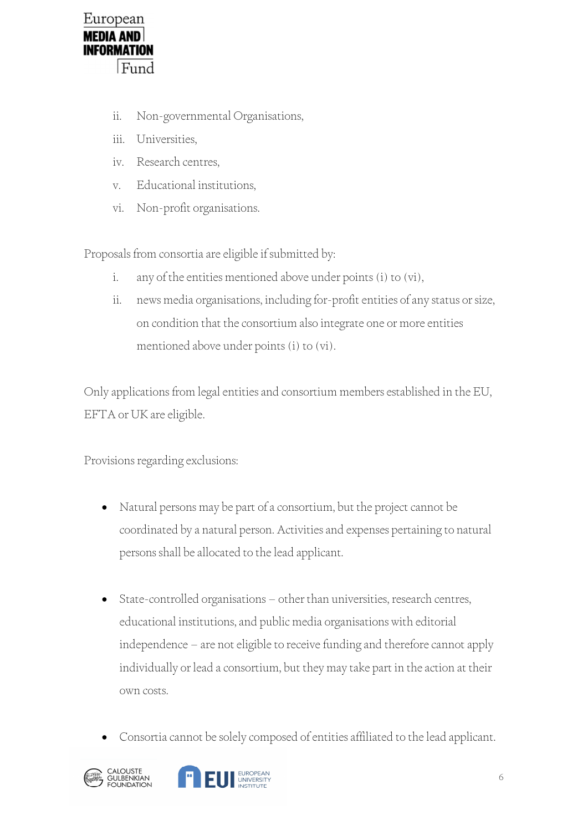

- ii. Non-governmental Organisations,
- iii. Universities,
- iv. Research centres,
- v. Educational institutions,
- vi. Non-profit organisations.

Proposals from consortia are eligible if submitted by:

- i. any of the entities mentioned above under points (i) to (vi),
- ii. news media organisations, including for-profit entities of any status or size, on condition that the consortium also integrate one or more entities mentioned above under points (i) to (vi).

Only applications from legal entities and consortium members established in the EU, EFTA or UK are eligible.

Provisions regarding exclusions:

- Natural persons may be part of a consortium, but the project cannot be coordinated by a natural person. Activities and expenses pertaining to natural persons shall be allocated to the lead applicant.
- State-controlled organisations other than universities, research centres, educational institutions, and public media organisations with editorial independence – are not eligible to receive funding and therefore cannot apply individually or lead a consortium, but they may take part in the action at their own costs.
- Consortia cannot be solely composed of entities affiliated to the lead applicant.



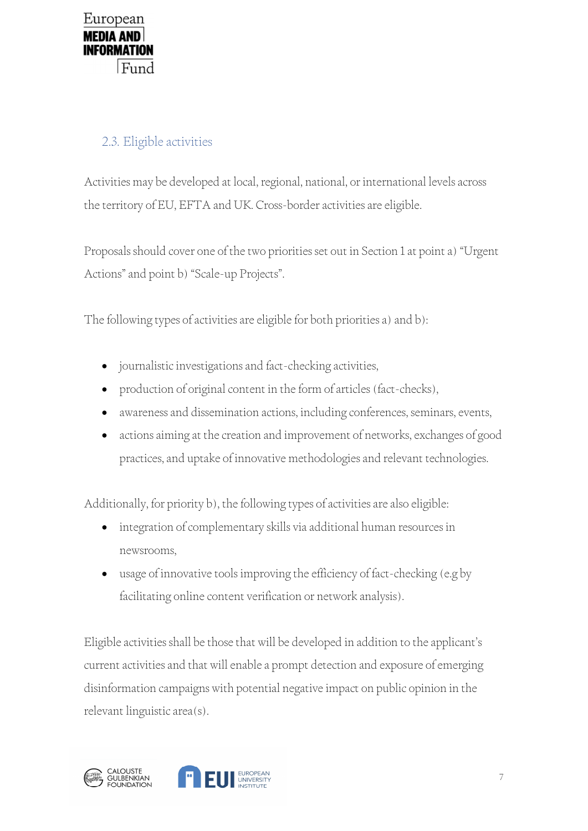# 2.3. Eligible activities

Activities may be developed at local, regional, national, or international levels across the territory of EU, EFTA and UK. Cross-border activities are eligible.

Proposals should cover one of the two priorities set out in Section 1 at point a) "Urgent Actions" and point b) "Scale-up Projects".

The following types of activities are eligible for both priorities a) and b):

- journalistic investigations and fact-checking activities,
- production of original content in the form of articles (fact-checks),
- awareness and dissemination actions, including conferences, seminars, events,
- actions aiming at the creation and improvement of networks, exchanges of good practices, and uptake of innovative methodologies and relevant technologies.

Additionally, for priority b), the following types of activities are also eligible:

- integration of complementary skills via additional human resources in newsrooms,
- usage of innovative tools improving the efficiency of fact-checking (e.g by facilitating online content verification or network analysis).

Eligible activities shall be those that will be developed in addition to the applicant's current activities and that will enable a prompt detection and exposure of emerging disinformation campaigns with potential negative impact on public opinion in the relevant linguistic area(s).

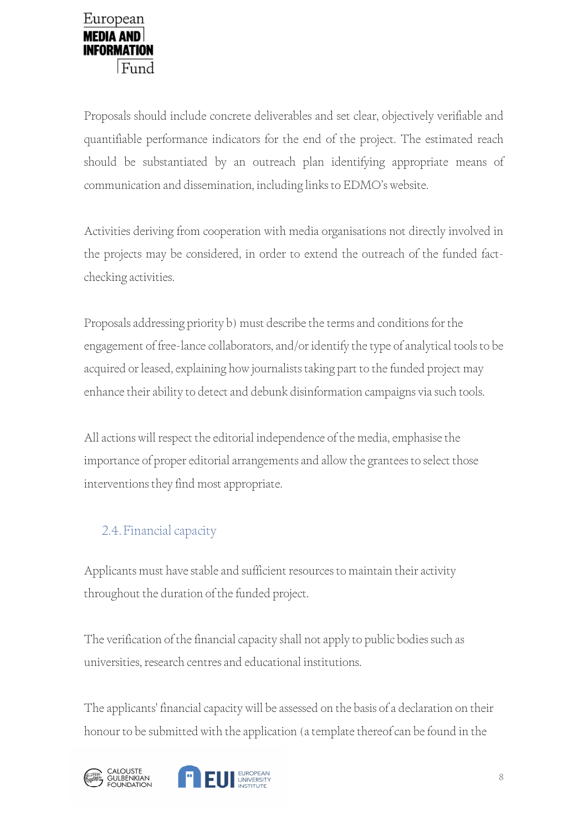Proposals should include concrete deliverables and set clear, objectively verifiable and quantifiable performance indicators for the end of the project. The estimated reach should be substantiated by an outreach plan identifying appropriate means of communication and dissemination, including links to EDMO's website.

Activities deriving from cooperation with media organisations not directly involved in the projects may be considered, in order to extend the outreach of the funded factchecking activities.

Proposals addressing priority b) must describe the terms and conditions for the engagement of free-lance collaborators, and/or identify the type of analytical tools to be acquired or leased, explaining how journalists taking part to the funded project may enhance their ability to detect and debunk disinformation campaigns via such tools.

All actions will respect the editorial independence of the media, emphasise the importance of proper editorial arrangements and allow the grantees to select those interventions they find most appropriate.

# 2.4.Financial capacity

Applicants must have stable and sufficient resources to maintain their activity throughout the duration of the funded project.

The verification of the financial capacity shall not apply to public bodies such as universities, research centres and educational institutions.

The applicants' financial capacity will be assessed on the basis of a declaration on their honour to be submitted with the application (a template thereof can be found in the



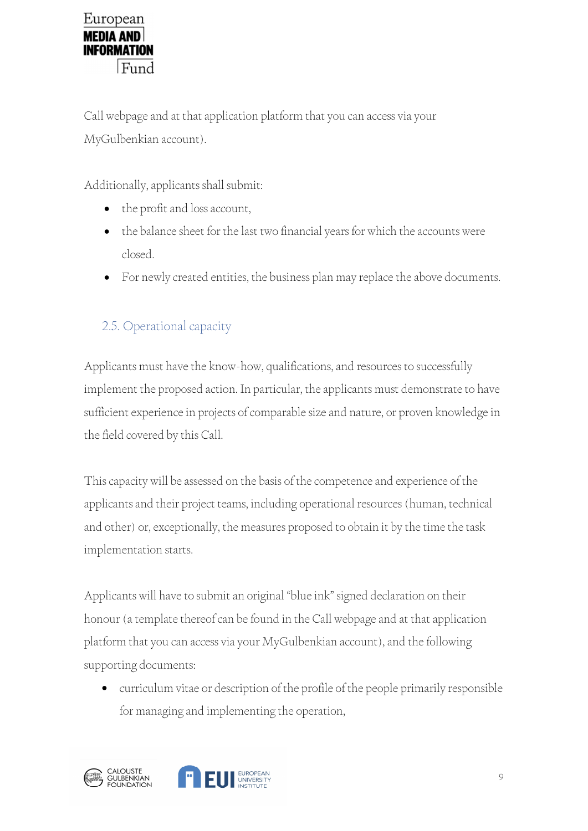Call webpage and at that application platform that you can access via your MyGulbenkian account).

Additionally, applicants shall submit:

- the profit and loss account,
- the balance sheet for the last two financial years for which the accounts were closed.
- For newly created entities, the business plan may replace the above documents.

# 2.5. Operational capacity

Applicants must have the know-how, qualifications, and resources to successfully implement the proposed action. In particular, the applicants must demonstrate to have sufficient experience in projects of comparable size and nature, or proven knowledge in the field covered by this Call.

This capacity will be assessed on the basis of the competence and experience of the applicants and their project teams, including operational resources (human, technical and other) or, exceptionally, the measures proposed to obtain it by the time the task implementation starts.

Applicants will have to submit an original "blue ink" signed declaration on their honour (a template thereof can be found in the Call webpage and at that application platform that you can access via your MyGulbenkian account), and the following supporting documents:

 curriculum vitae or description of the profile of the people primarily responsible for managing and implementing the operation,

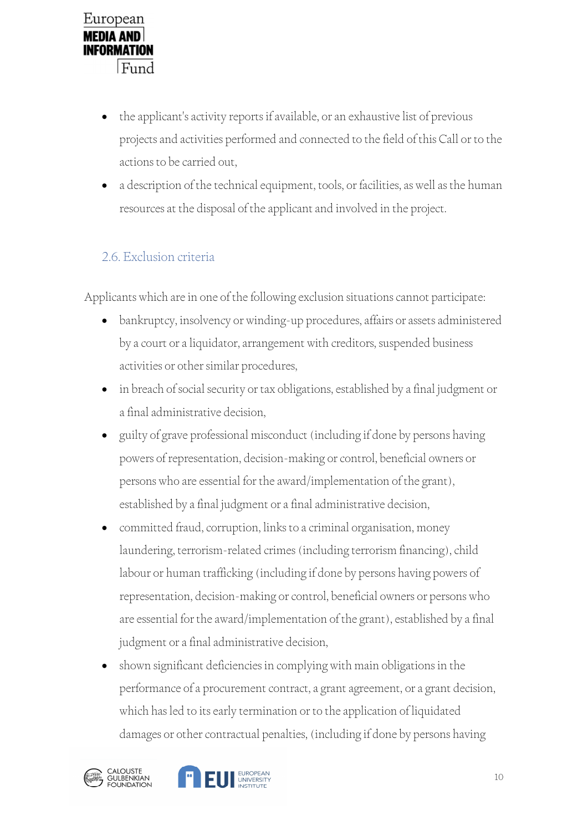- the applicant's activity reports if available, or an exhaustive list of previous projects and activities performed and connected to the field of this Call or to the actions to be carried out,
- a description of the technical equipment, tools, or facilities, as well as the human resources at the disposal of the applicant and involved in the project.

# 2.6. Exclusion criteria

Applicants which are in one of the following exclusion situations cannot participate:

- bankruptcy, insolvency or winding-up procedures, affairs or assets administered by a court or a liquidator, arrangement with creditors, suspended business activities or other similar procedures,
- in breach of social security or tax obligations, established by a final judgment or a final administrative decision,
- guilty of grave professional misconduct (including if done by persons having powers of representation, decision-making or control, beneficial owners or persons who are essential for the award/implementation of the grant), established by a final judgment or a final administrative decision,
- committed fraud, corruption, links to a criminal organisation, money laundering, terrorism-related crimes (including terrorism financing), child labour or human trafficking (including if done by persons having powers of representation, decision-making or control, beneficial owners or persons who are essential for the award/implementation of the grant), established by a final judgment or a final administrative decision,
- shown significant deficiencies in complying with main obligations in the performance of a procurement contract, a grant agreement, or a grant decision, which has led to its early termination or to the application of liquidated damages or other contractual penalties, (including if done by persons having



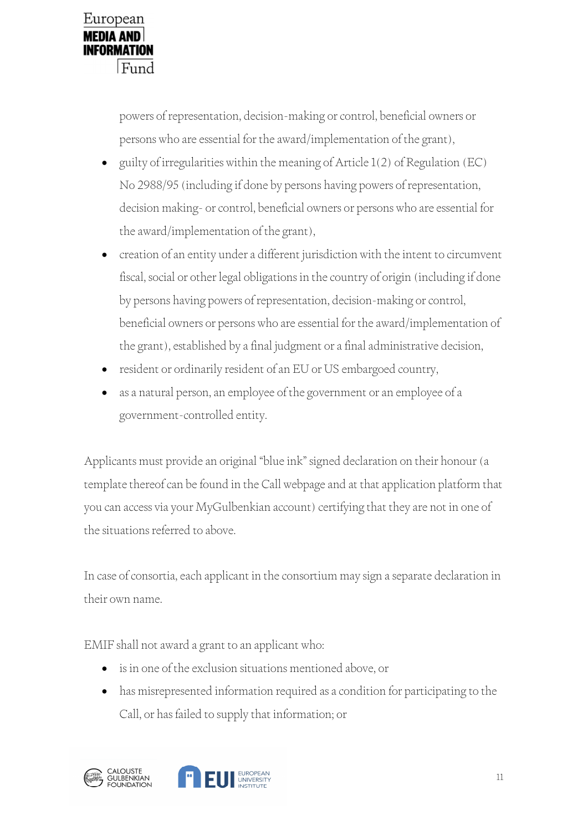

powers of representation, decision-making or control, beneficial owners or persons who are essential for the award/implementation of the grant),

- guilty of irregularities within the meaning of Article 1(2) of Regulation (EC) No 2988/95 (including if done by persons having powers of representation, decision making- or control, beneficial owners or persons who are essential for the award/implementation of the grant),
- creation of an entity under a different jurisdiction with the intent to circumvent fiscal, social or other legal obligations in the country of origin (including if done by persons having powers of representation, decision-making or control, beneficial owners or persons who are essential for the award/implementation of the grant), established by a final judgment or a final administrative decision,
- resident or ordinarily resident of an EU or US embargoed country,
- as a natural person, an employee of the government or an employee of a government-controlled entity.

Applicants must provide an original "blue ink" signed declaration on their honour (a template thereof can be found in the Call webpage and at that application platform that you can access via your MyGulbenkian account) certifying that they are not in one of the situations referred to above.

In case of consortia, each applicant in the consortium may sign a separate declaration in their own name.

EMIF shall not award a grant to an applicant who:

- is in one of the exclusion situations mentioned above, or
- has misrepresented information required as a condition for participating to the Call, or has failed to supply that information; or



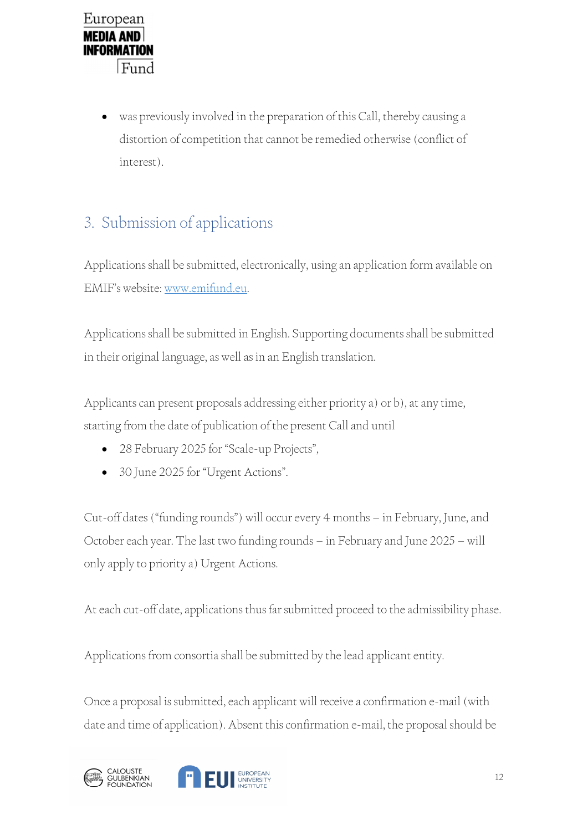

 was previously involved in the preparation of this Call, thereby causing a distortion of competition that cannot be remedied otherwise (conflict of interest).

# 3. Submission of applications

Applications shall be submitted, electronically, using an application form available on

EMIF's website: www.emifund.eu. Applications shall be submitted in English. Supporting documents shall be submitted in their original language, as well as in an English translation.

Applicants can present proposals addressing either priority a) or b), at any time, starting from the date of publication of the present Call and until

- 28 February 2025 for "Scale-up Projects",
- 30 June 2025 for "Urgent Actions".

Cut-off dates ("funding rounds") will occur every 4 months – in February, June, and October each year. The last two funding rounds – in February and June 2025 – will only apply to priority a) Urgent Actions.

At each cut-off date, applications thus far submitted proceed to the admissibility phase.

Applications from consortia shall be submitted by the lead applicant entity.

Once a proposal is submitted, each applicant will receive a confirmation e-mail (with date and time of application). Absent this confirmation e-mail, the proposal should be



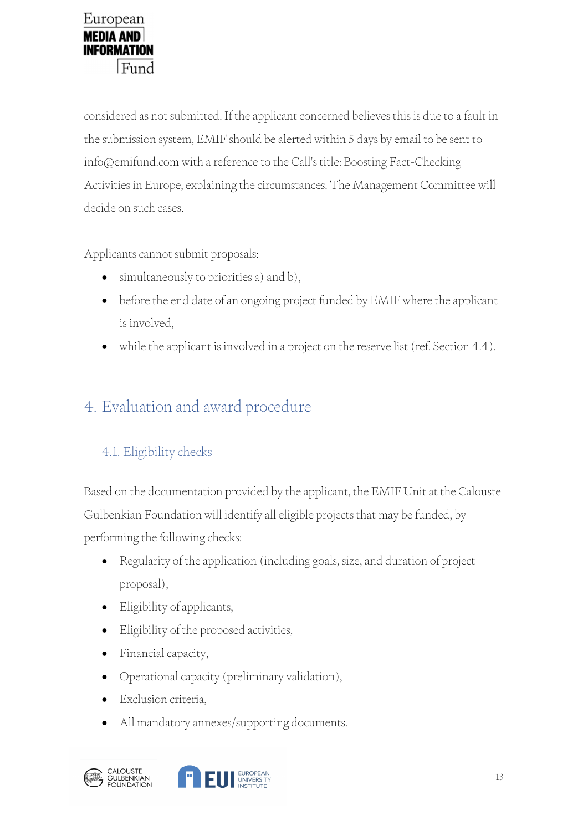considered as not submitted. If the applicant concerned believes this is due to a fault in the submission system, EMIF should be alerted within 5 days by email to be sent to info@emifund.com with a reference to the Call's title: Boosting Fact-Checking Activities in Europe, explaining the circumstances. The Management Committee will decide on such cases.

Applicants cannot submit proposals:

- simultaneously to priorities a) and b),
- before the end date of an ongoing project funded by EMIF where the applicant is involved,
- while the applicant is involved in a project on the reserve list (ref. Section 4.4).

# 4. Evaluation and award procedure

# 4.1. Eligibility checks

Based on the documentation provided by the applicant, the EMIF Unit at the Calouste Gulbenkian Foundation will identify all eligible projects that may be funded, by performing the following checks:

- Regularity of the application (including goals, size, and duration of project proposal),
- Eligibility of applicants,
- Eligibility of the proposed activities,
- Financial capacity,
- Operational capacity (preliminary validation),
- Exclusion criteria,
- All mandatory annexes/supporting documents.

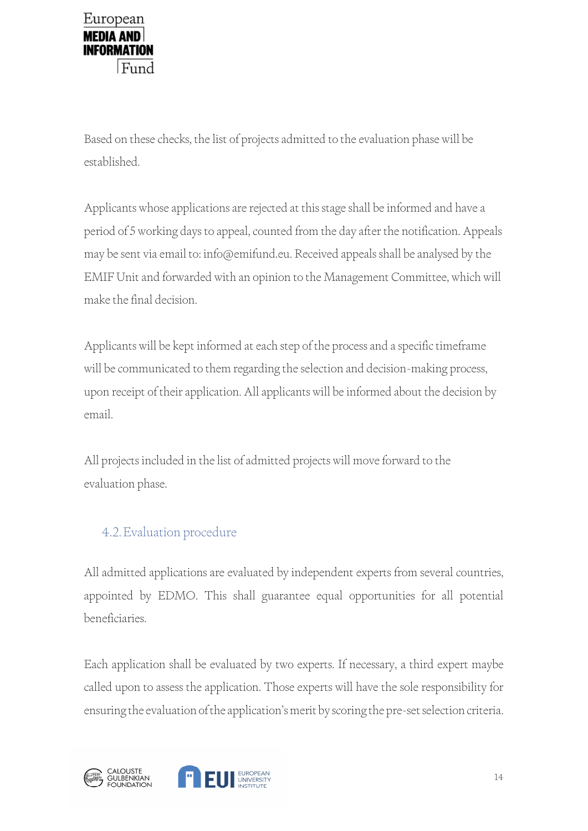

Based on these checks, the list of projects admitted to the evaluation phase will be established.

Applicants whose applications are rejected at this stage shall be informed and have a period of 5 working days to appeal, counted from the day after the notification. Appeals may be sent via email to: info@emifund.eu. Received appeals shall be analysed by the EMIF Unit and forwarded with an opinion to the Management Committee, which will make the final decision.

Applicants will be kept informed at each step of the process and a specific timeframe will be communicated to them regarding the selection and decision-making process, upon receipt of their application. All applicants will be informed about the decision by email.

All projects included in the list of admitted projects will move forward to the evaluation phase.

### 4.2.Evaluation procedure

All admitted applications are evaluated by independent experts from several countries, appointed by EDMO. This shall guarantee equal opportunities for all potential beneficiaries.

Each application shall be evaluated by two experts. If necessary, a third expert maybe called upon to assess the application. Those experts will have the sole responsibility for ensuring the evaluation of the application's merit by scoring the pre-set selection criteria.



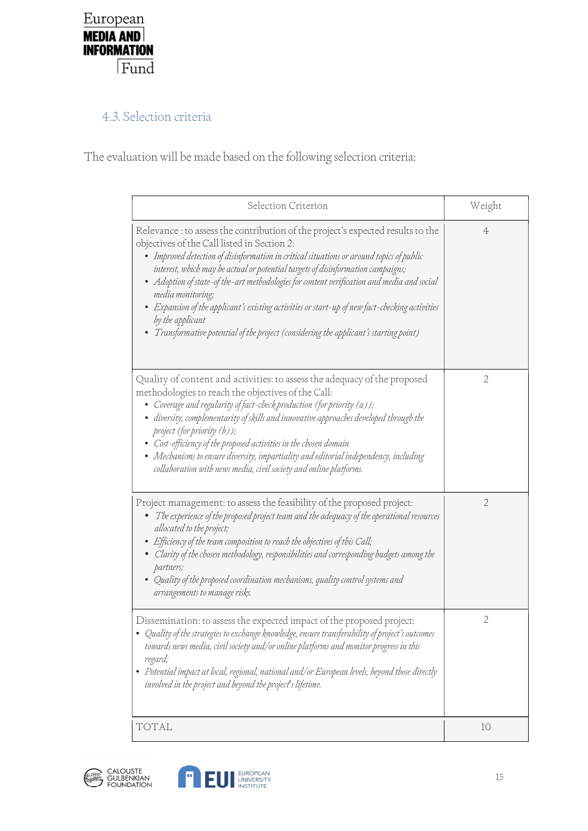

### 4.3. Selection criteria

The evaluation will be made based on the following selection criteria:

| Selection Criterion                                                                                                                                                                                                                                                                                                                                                                                                                                                                                                                                                                                                                              | Weight         |  |
|--------------------------------------------------------------------------------------------------------------------------------------------------------------------------------------------------------------------------------------------------------------------------------------------------------------------------------------------------------------------------------------------------------------------------------------------------------------------------------------------------------------------------------------------------------------------------------------------------------------------------------------------------|----------------|--|
| Relevance : to assess the contribution of the project's expected results to the<br>objectives of the Call listed in Section 2:<br>• Improved detection of disinformation in critical situations or around topics of public<br>interest, which may be actual or potential targets of disinformation campaigns;<br>• Adoption of state-of the-art methodologies for content verification and media and social<br>media monitoring;<br>• Expansion of the applicant's existing activities or start-up of new fact-checking activities<br>by the applicant<br>• Transformative potential of the project (considering the applicant's starting point) | 4              |  |
| Quality of content and activities: to assess the adequacy of the proposed<br>methodologies to reach the objectives of the Call:<br>• Coverage and regularity of fact-check production (for priority $(a)$ );<br>· diversity, complementarity of skills and innovative approaches developed through the<br>project (for priority $(b)$ );<br>• Cost-efficiency of the proposed activities in the chosen domain<br>• Mechanisms to ensure diversity, impartiality and editorial independency, including<br>collaboration with news media, civil society and online platforms.                                                                      | 2              |  |
| Project management: to assess the feasibility of the proposed project:<br>$\bullet$ The experience of the proposed project team and the adequacy of the operational resources<br>allocated to the project;<br>• Efficiency of the team composition to reach the objectives of this Call;<br>• Clarity of the chosen methodology, responsibilities and corresponding budgets among the<br>partners;<br>• Quality of the proposed coordination mechanisms, quality control systems and<br>arrangements to manage risks.                                                                                                                            | $\overline{2}$ |  |
| Dissemination: to assess the expected impact of the proposed project:<br>• Quality of the strategies to exchange knowledge, ensure transferability of project's outcomes<br>towards news media, civil society and/or online platforms and monitor progress in this<br>regard;<br>• Potential impact at local, regional, national and/or European levels, beyond those directly<br>involved in the project and beyond the project's lifetime.                                                                                                                                                                                                     | $\sqrt{2}$     |  |
| TOTAL                                                                                                                                                                                                                                                                                                                                                                                                                                                                                                                                                                                                                                            | 10             |  |



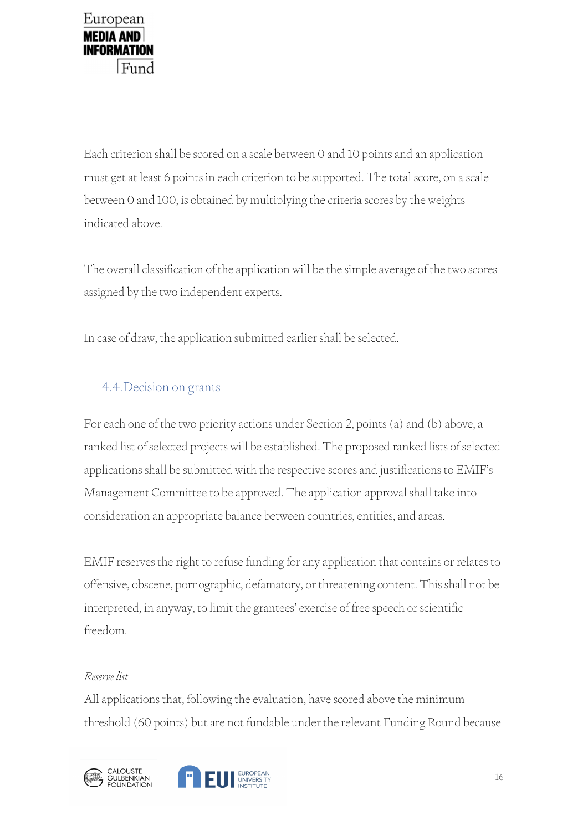

Each criterion shall be scored on a scale between 0 and 10 points and an application must get at least 6 points in each criterion to be supported. The total score, on a scale between 0 and 100, is obtained by multiplying the criteria scores by the weights indicated above.

The overall classification of the application will be the simple average of the two scores assigned by the two independent experts.

In case of draw, the application submitted earlier shall be selected.

### 4.4.Decision on grants

For each one of the two priority actions under Section 2, points (a) and (b) above, a ranked list of selected projects will be established. The proposed ranked lists of selected applications shall be submitted with the respective scores and justifications to EMIF's Management Committee to be approved. The application approval shall take into consideration an appropriate balance between countries, entities, and areas.

EMIF reserves the right to refuse funding for any application that contains or relates to offensive, obscene, pornographic, defamatory, or threatening content. This shall not be interpreted, in anyway, to limit the grantees' exercise of free speech or scientific freedom.

#### Reserve list

All applications that, following the evaluation, have scored above the minimum threshold (60 points) but are not fundable under the relevant Funding Round because



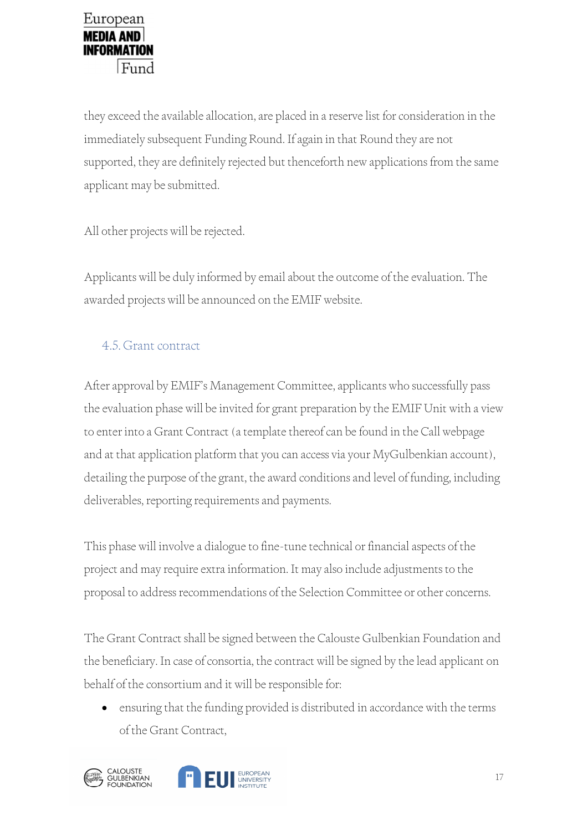they exceed the available allocation, are placed in a reserve list for consideration in the immediately subsequent Funding Round. If again in that Round they are not supported, they are definitely rejected but thenceforth new applications from the same applicant may be submitted.

All other projects will be rejected.

Applicants will be duly informed by email about the outcome of the evaluation. The awarded projects will be announced on the EMIF website.

# 4.5. Grant contract

After approval by EMIF's Management Committee, applicants who successfully pass the evaluation phase will be invited for grant preparation by the EMIF Unit with a view to enter into a Grant Contract (a template thereof can be found in the Call webpage and at that application platform that you can access via your MyGulbenkian account), detailing the purpose of the grant, the award conditions and level of funding, including deliverables, reporting requirements and payments.

This phase will involve a dialogue to fine-tune technical or financial aspects of the project and may require extra information. It may also include adjustments to the proposal to address recommendations of the Selection Committee or other concerns.

The Grant Contract shall be signed between the Calouste Gulbenkian Foundation and the beneficiary. In case of consortia, the contract will be signed by the lead applicant on behalf of the consortium and it will be responsible for:

 ensuring that the funding provided is distributed in accordance with the terms of the Grant Contract,

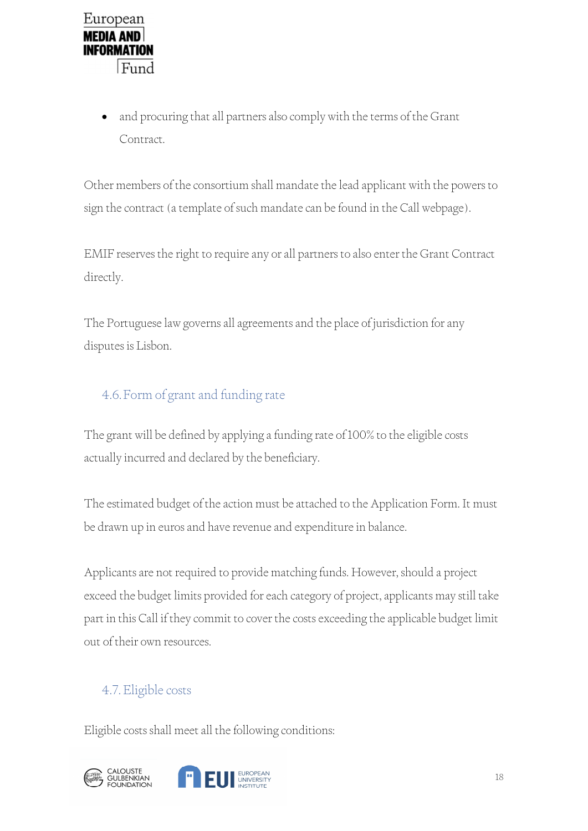

 and procuring that all partners also comply with the terms of the Grant Contract.

Other members of the consortium shall mandate the lead applicant with the powers to sign the contract (a template of such mandate can be found in the Call webpage).

EMIF reserves the right to require any or all partners to also enter the Grant Contract directly.

The Portuguese law governs all agreements and the place of jurisdiction for any disputes is Lisbon.

## 4.6.Form of grant and funding rate

The grant will be defined by applying a funding rate of 100% to the eligible costs actually incurred and declared by the beneficiary.

The estimated budget of the action must be attached to the Application Form. It must be drawn up in euros and have revenue and expenditure in balance.

Applicants are not required to provide matching funds. However, should a project exceed the budget limits provided for each category of project, applicants may still take part in this Call if they commit to cover the costs exceeding the applicable budget limit out of their own resources.

### 4.7.Eligible costs

Eligible costs shall meet all the following conditions:

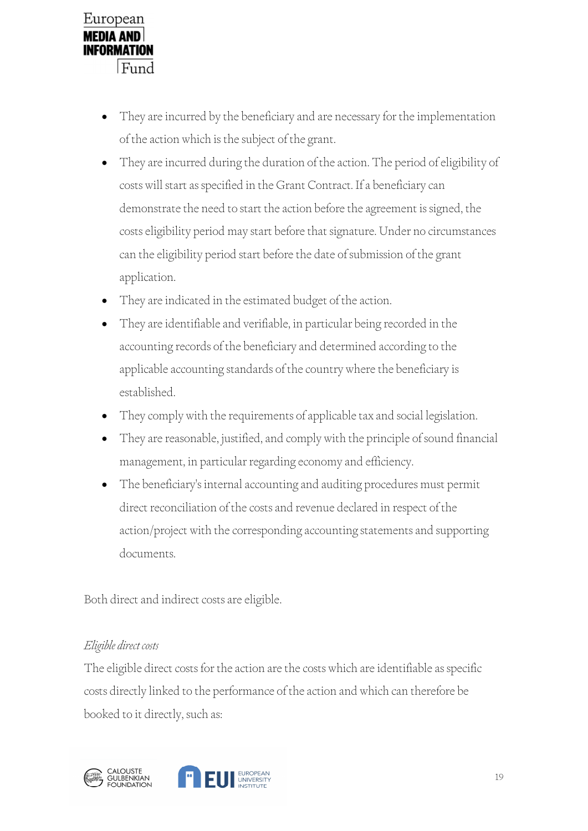

- They are incurred by the beneficiary and are necessary for the implementation of the action which is the subject of the grant.
- They are incurred during the duration of the action. The period of eligibility of costs will start as specified in the Grant Contract. If a beneficiary can demonstrate the need to start the action before the agreement is signed, the costs eligibility period may start before that signature. Under no circumstances can the eligibility period start before the date of submission of the grant application.
- They are indicated in the estimated budget of the action.
- They are identifiable and verifiable, in particular being recorded in the accounting records of the beneficiary and determined according to the applicable accounting standards of the country where the beneficiary is established.
- They comply with the requirements of applicable tax and social legislation.
- They are reasonable, justified, and comply with the principle of sound financial management, in particular regarding economy and efficiency.
- The beneficiary's internal accounting and auditing procedures must permit direct reconciliation of the costs and revenue declared in respect of the action/project with the corresponding accounting statements and supporting documents.

Both direct and indirect costs are eligible.

#### Eligible direct costs

The eligible direct costs for the action are the costs which are identifiable as specific costs directly linked to the performance of the action and which can therefore be booked to it directly, such as:

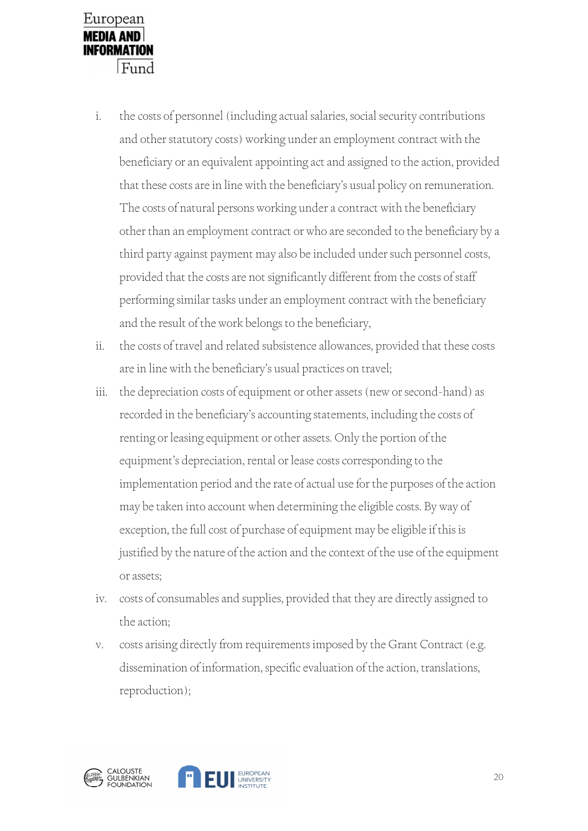

- i. the costs of personnel (including actual salaries, social security contributions and other statutory costs) working under an employment contract with the beneficiary or an equivalent appointing act and assigned to the action, provided that these costs are in line with the beneficiary's usual policy on remuneration. The costs of natural persons working under a contract with the beneficiary other than an employment contract or who are seconded to the beneficiary by a third party against payment may also be included under such personnel costs, provided that the costs are not significantly different from the costs of staff performing similar tasks under an employment contract with the beneficiary and the result of the work belongs to the beneficiary,
- ii. the costs of travel and related subsistence allowances, provided that these costs are in line with the beneficiary's usual practices on travel;
- iii. the depreciation costs of equipment or other assets (new or second-hand) as recorded in the beneficiary's accounting statements, including the costs of renting or leasing equipment or other assets. Only the portion of the equipment's depreciation, rental or lease costs corresponding to the implementation period and the rate of actual use for the purposes of the action may be taken into account when determining the eligible costs. By way of exception, the full cost of purchase of equipment may be eligible if this is justified by the nature of the action and the context of the use of the equipment or assets;
- iv. costs of consumables and supplies, provided that they are directly assigned to the action;
- v. costs arising directly from requirements imposed by the Grant Contract (e.g. dissemination of information, specific evaluation of the action, translations, reproduction);

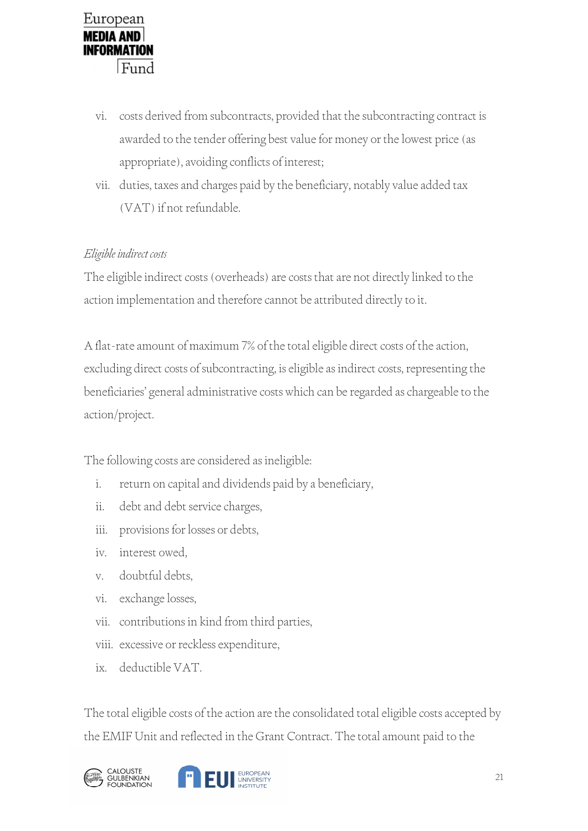

- vi. costs derived from subcontracts, provided that the subcontracting contract is awarded to the tender offering best value for money or the lowest price (as appropriate), avoiding conflicts of interest;
- vii. duties, taxes and charges paid by the beneficiary, notably value added tax (VAT) if not refundable.

#### Eligible indirect costs

The eligible indirect costs (overheads) are costs that are not directly linked to the action implementation and therefore cannot be attributed directly to it.

A flat-rate amount of maximum 7% of the total eligible direct costs of the action, excluding direct costs of subcontracting, is eligible as indirect costs, representing the beneficiaries' general administrative costs which can be regarded as chargeable to the action/project.

The following costs are considered as ineligible:

- i. return on capital and dividends paid by a beneficiary,
- ii. debt and debt service charges,
- iii. provisions for losses or debts,
- iv. interest owed,
- v. doubtful debts,
- vi. exchange losses,
- vii. contributions in kind from third parties,
- viii. excessive or reckless expenditure,
- ix. deductible VAT.

The total eligible costs of the action are the consolidated total eligible costs accepted by the EMIF Unit and reflected in the Grant Contract. The total amount paid to the

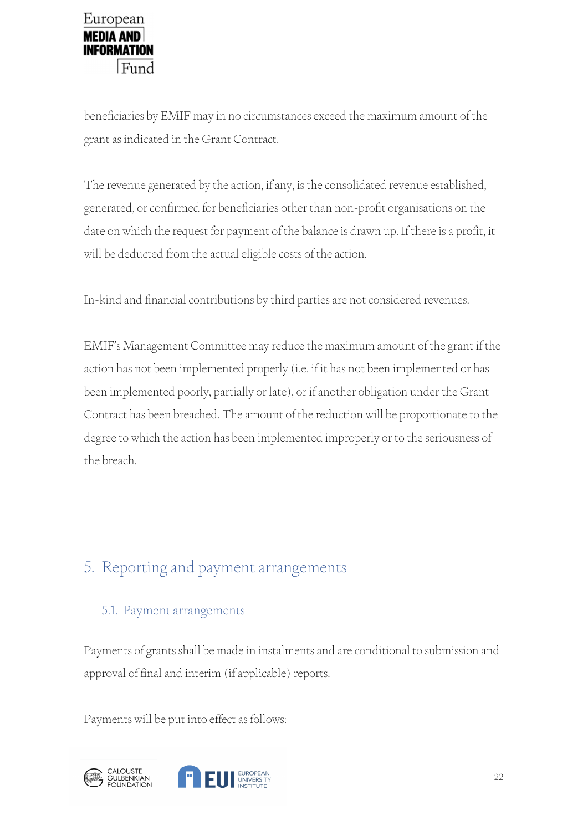

beneficiaries by EMIF may in no circumstances exceed the maximum amount of the grant as indicated in the Grant Contract.

The revenue generated by the action, if any, is the consolidated revenue established, generated, or confirmed for beneficiaries other than non-profit organisations on the date on which the request for payment of the balance is drawn up. If there is a profit, it will be deducted from the actual eligible costs of the action.

In-kind and financial contributions by third parties are not considered revenues.

EMIF's Management Committee may reduce the maximum amount of the grant if the action has not been implemented properly (i.e. if it has not been implemented or has been implemented poorly, partially or late), or if another obligation under the Grant Contract has been breached. The amount of the reduction will be proportionate to the degree to which the action has been implemented improperly or to the seriousness of the breach.

# 5. Reporting and payment arrangements

### 5.1. Payment arrangements

Payments of grants shall be made in instalments and are conditional to submission and approval of final and interim (if applicable) reports.

Payments will be put into effect as follows:



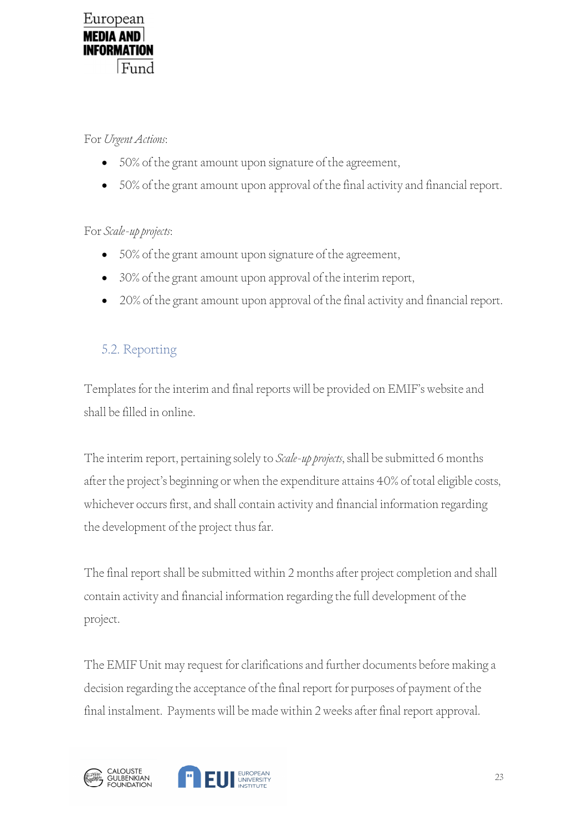

#### For Urgent Actions:

- 50% of the grant amount upon signature of the agreement,
- 50% of the grant amount upon approval of the final activity and financial report.

#### For Scale-up projects:

- 50% of the grant amount upon signature of the agreement,
- 30% of the grant amount upon approval of the interim report,
- 20% of the grant amount upon approval of the final activity and financial report.

## 5.2. Reporting

Templates for the interim and final reports will be provided on EMIF's website and shall be filled in online.

The interim report, pertaining solely to Scale-up projects, shall be submitted 6 months after the project's beginning or when the expenditure attains 40% of total eligible costs, whichever occurs first, and shall contain activity and financial information regarding the development of the project thus far.

The final report shall be submitted within 2 months after project completion and shall contain activity and financial information regarding the full development of the project.

The EMIF Unit may request for clarifications and further documents before making a decision regarding the acceptance of the final report for purposes of payment of the final instalment. Payments will be made within 2 weeks after final report approval.



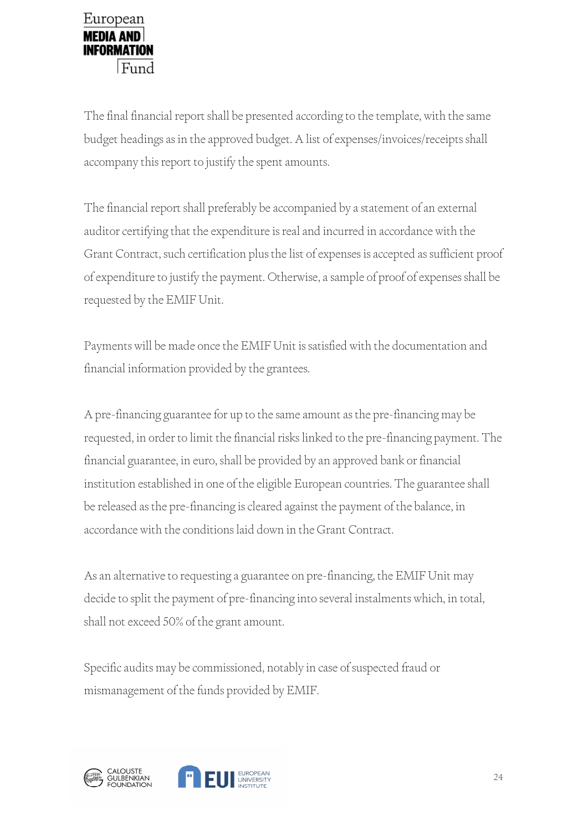The final financial report shall be presented according to the template, with the same budget headings as in the approved budget. A list of expenses/invoices/receipts shall accompany this report to justify the spent amounts.

The financial report shall preferably be accompanied by a statement of an external auditor certifying that the expenditure is real and incurred in accordance with the Grant Contract, such certification plus the list of expenses is accepted as sufficient proof of expenditure to justify the payment. Otherwise, a sample of proof of expenses shall be requested by the EMIF Unit.

Payments will be made once the EMIF Unit is satisfied with the documentation and financial information provided by the grantees.

A pre-financing guarantee for up to the same amount as the pre-financing may be requested, in order to limit the financial risks linked to the pre-financing payment. The financial guarantee, in euro, shall be provided by an approved bank or financial institution established in one of the eligible European countries. The guarantee shall be released as the pre-financing is cleared against the payment of the balance, in accordance with the conditions laid down in the Grant Contract.

As an alternative to requesting a guarantee on pre-financing, the EMIF Unit may decide to split the payment of pre-financing into several instalments which, in total, shall not exceed 50% of the grant amount.

Specific audits may be commissioned, notably in case of suspected fraud or mismanagement of the funds provided by EMIF.



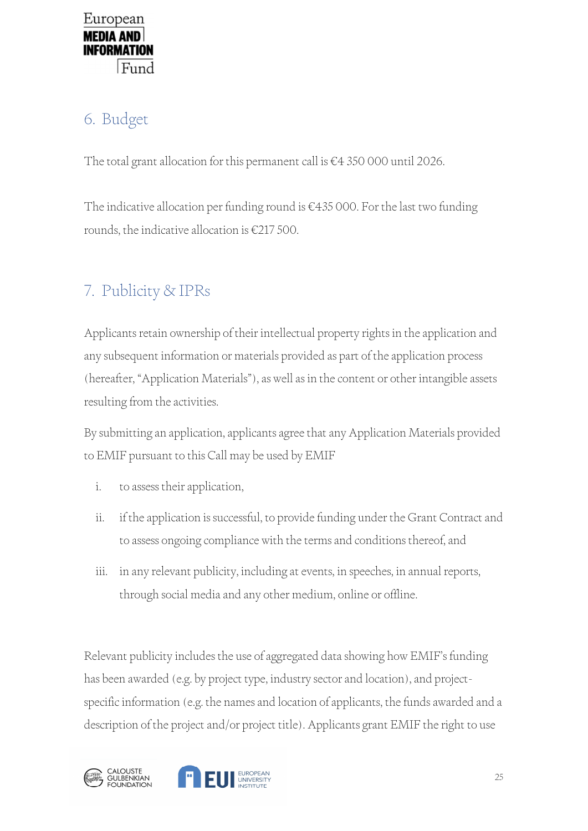# 6. Budget

The total grant allocation for this permanent call is €4 350 000 until 2026.

The indicative allocation per funding round is €435 000. For the last two funding rounds, the indicative allocation is  $\epsilon$ 217 500.

# 7. Publicity & IPRs

Applicants retain ownership of their intellectual property rights in the application and any subsequent information or materials provided as part of the application process (hereafter, "Application Materials"), as well as in the content or other intangible assets resulting from the activities.

By submitting an application, applicants agree that any Application Materials provided to EMIF pursuant to this Call may be used by EMIF

- i. to assess their application,
- ii. if the application is successful, to provide funding under the Grant Contract and to assess ongoing compliance with the terms and conditions thereof, and
- iii. in any relevant publicity, including at events, in speeches, in annual reports, through social media and any other medium, online or offline.

Relevant publicity includes the use of aggregated data showing how EMIF's funding has been awarded (e.g. by project type, industry sector and location), and projectspecific information (e.g. the names and location of applicants, the funds awarded and a description of the project and/or project title). Applicants grant EMIF the right to use



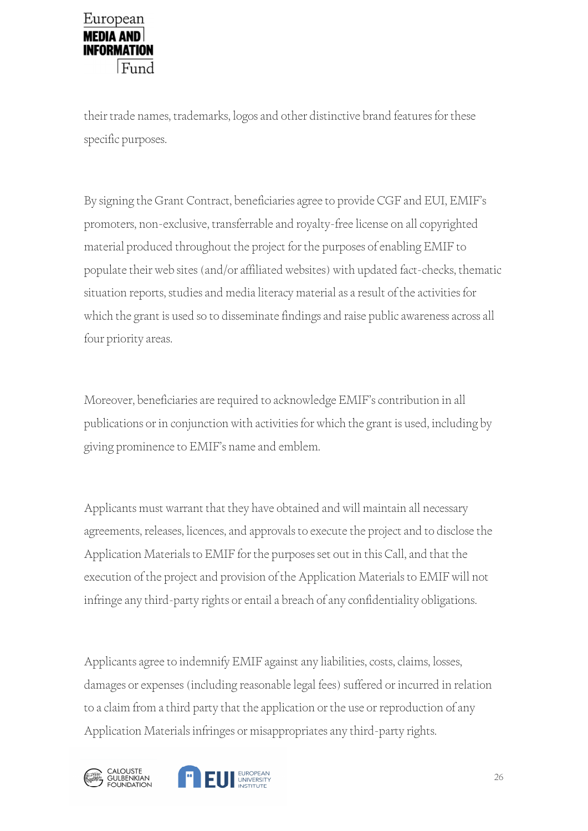

their trade names, trademarks, logos and other distinctive brand features for these specific purposes.

By signing the Grant Contract, beneficiaries agree to provide CGF and EUI, EMIF's promoters, non-exclusive, transferrable and royalty-free license on all copyrighted material produced throughout the project for the purposes of enabling EMIF to populate their web sites (and/or affiliated websites) with updated fact-checks, thematic situation reports, studies and media literacy material as a result of the activities for which the grant is used so to disseminate findings and raise public awareness across all four priority areas.

Moreover, beneficiaries are required to acknowledge EMIF's contribution in all publications or in conjunction with activities for which the grant is used, including by giving prominence to EMIF's name and emblem.

Applicants must warrant that they have obtained and will maintain all necessary agreements, releases, licences, and approvals to execute the project and to disclose the Application Materials to EMIF for the purposes set out in this Call, and that the execution of the project and provision of the Application Materials to EMIF will not infringe any third-party rights or entail a breach of any confidentiality obligations.

Applicants agree to indemnify EMIF against any liabilities, costs, claims, losses, damages or expenses (including reasonable legal fees) suffered or incurred in relation to a claim from a third party that the application or the use or reproduction of any Application Materials infringes or misappropriates any third-party rights.